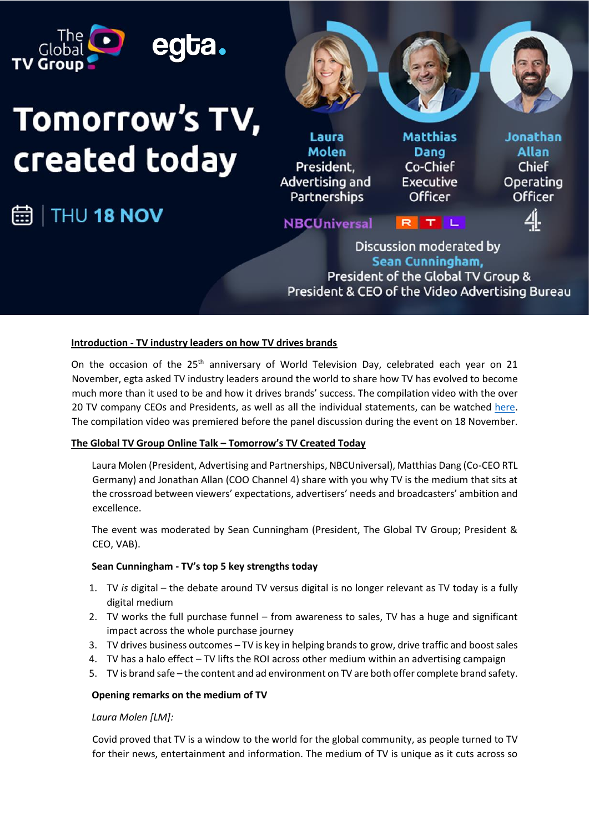

### **Introduction - TV industry leaders on how TV drives brands**

On the occasion of the 25<sup>th</sup> anniversary of World Television Day, celebrated each year on 21 November, egta asked TV industry leaders around the world to share how TV has evolved to become much more than it used to be and how it drives brands' success. The compilation video with the over 20 TV company CEOs and Presidents, as well as all the individual statements, can be watched [here.](https://www.theglobaltvgroup.com/ceo-statements/) The compilation video was premiered before the panel discussion during the event on 18 November.

### **The Global TV Group Online Talk – Tomorrow's TV Created Today**

Laura Molen (President, Advertising and Partnerships, NBCUniversal), Matthias Dang (Co-CEO RTL Germany) and Jonathan Allan (COO Channel 4) share with you why TV is the medium that sits at the crossroad between viewers' expectations, advertisers' needs and broadcasters' ambition and excellence.

The event was moderated by Sean Cunningham (President, The Global TV Group; President & CEO, VAB).

### **Sean Cunningham - TV's top 5 key strengths today**

- 1. TV *is* digital the debate around TV versus digital is no longer relevant as TV today is a fully digital medium
- 2. TV works the full purchase funnel from awareness to sales, TV has a huge and significant impact across the whole purchase journey
- 3. TV drives business outcomes TV is key in helping brands to grow, drive traffic and boost sales
- 4. TV has a halo effect TV lifts the ROI across other medium within an advertising campaign
- 5. TV is brand safe the content and ad environment on TV are both offer complete brand safety.

### **Opening remarks on the medium of TV**

*Laura Molen [LM]:*

Covid proved that TV is a window to the world for the global community, as people turned to TV for their news, entertainment and information. The medium of TV is unique as it cuts across so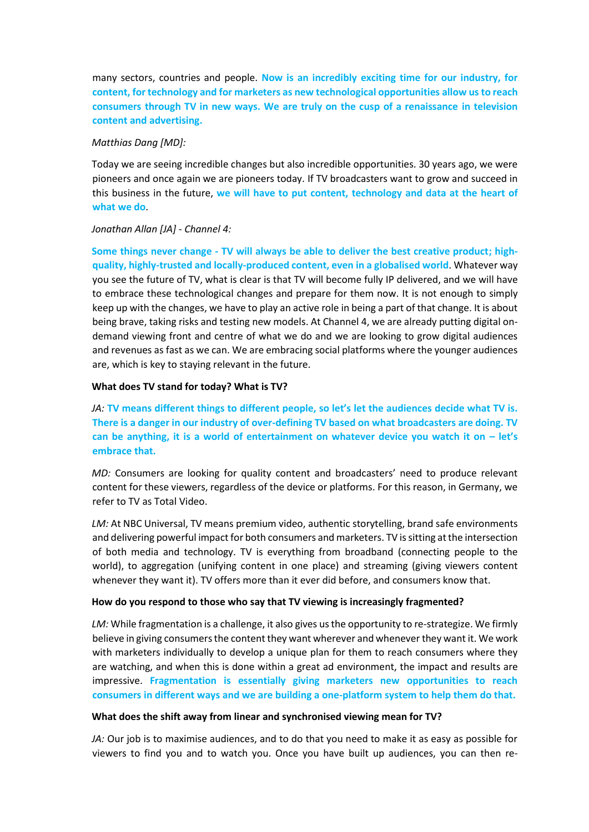many sectors, countries and people. **Now is an incredibly exciting time for our industry, for content, for technology and for marketers as new technological opportunities allow us to reach consumers through TV in new ways. We are truly on the cusp of a renaissance in television content and advertising.**

# *Matthias Dang [MD]:*

Today we are seeing incredible changes but also incredible opportunities. 30 years ago, we were pioneers and once again we are pioneers today. If TV broadcasters want to grow and succeed in this business in the future, **we will have to put content, technology and data at the heart of what we do**.

# *Jonathan Allan [JA] - Channel 4:*

**Some things never change - TV will always be able to deliver the best creative product; highquality, highly-trusted and locally-produced content, even in a globalised world**. Whatever way you see the future of TV, what is clear is that TV will become fully IP delivered, and we will have to embrace these technological changes and prepare for them now. It is not enough to simply keep up with the changes, we have to play an active role in being a part of that change. It is about being brave, taking risks and testing new models. At Channel 4, we are already putting digital ondemand viewing front and centre of what we do and we are looking to grow digital audiences and revenues as fast as we can. We are embracing social platforms where the younger audiences are, which is key to staying relevant in the future.

# **What does TV stand for today? What is TV?**

*JA:* **TV means different things to different people, so let's let the audiences decide what TV is. There is a danger in our industry of over-defining TV based on what broadcasters are doing. TV**  can be anything, it is a world of entertainment on whatever device you watch it on - let's **embrace that.** 

*MD:* Consumers are looking for quality content and broadcasters' need to produce relevant content for these viewers, regardless of the device or platforms. For this reason, in Germany, we refer to TV as Total Video.

*LM:* At NBC Universal, TV means premium video, authentic storytelling, brand safe environments and delivering powerful impact for both consumers and marketers. TV is sitting atthe intersection of both media and technology. TV is everything from broadband (connecting people to the world), to aggregation (unifying content in one place) and streaming (giving viewers content whenever they want it). TV offers more than it ever did before, and consumers know that.

# **How do you respond to those who say that TV viewing is increasingly fragmented?**

*LM:* While fragmentation is a challenge, it also gives us the opportunity to re-strategize. We firmly believe in giving consumers the content they want wherever and whenever they want it. We work with marketers individually to develop a unique plan for them to reach consumers where they are watching, and when this is done within a great ad environment, the impact and results are impressive. **Fragmentation is essentially giving marketers new opportunities to reach consumers in different ways and we are building a one-platform system to help them do that.**

# **What does the shift away from linear and synchronised viewing mean for TV?**

*JA:* Our job is to maximise audiences, and to do that you need to make it as easy as possible for viewers to find you and to watch you. Once you have built up audiences, you can then re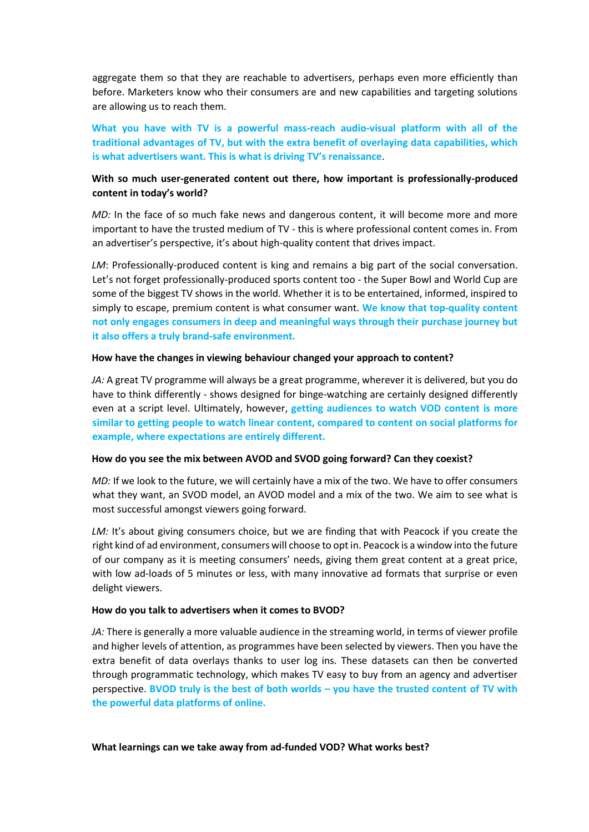aggregate them so that they are reachable to advertisers, perhaps even more efficiently than before. Marketers know who their consumers are and new capabilities and targeting solutions are allowing us to reach them.

**What you have with TV is a powerful mass-reach audio-visual platform with all of the traditional advantages of TV, but with the extra benefit of overlaying data capabilities, which is what advertisers want. This is what is driving TV's renaissance**.

# **With so much user-generated content out there, how important is professionally-produced content in today's world?**

*MD:* In the face of so much fake news and dangerous content, it will become more and more important to have the trusted medium of TV - this is where professional content comes in. From an advertiser's perspective, it's about high-quality content that drives impact.

*LM*: Professionally-produced content is king and remains a big part of the social conversation. Let's not forget professionally-produced sports content too - the Super Bowl and World Cup are some of the biggest TV shows in the world. Whether it is to be entertained, informed, inspired to simply to escape, premium content is what consumer want. **We know that top-quality content not only engages consumers in deep and meaningful ways through their purchase journey but it also offers a truly brand-safe environment.** 

### **How have the changes in viewing behaviour changed your approach to content?**

*JA:* A great TV programme will always be a great programme, wherever it is delivered, but you do have to think differently - shows designed for binge-watching are certainly designed differently even at a script level. Ultimately, however, **getting audiences to watch VOD content is more similar to getting people to watch linear content, compared to content on social platforms for example, where expectations are entirely different.** 

### **How do you see the mix between AVOD and SVOD going forward? Can they coexist?**

*MD:* If we look to the future, we will certainly have a mix of the two. We have to offer consumers what they want, an SVOD model, an AVOD model and a mix of the two. We aim to see what is most successful amongst viewers going forward.

LM: It's about giving consumers choice, but we are finding that with Peacock if you create the right kind of ad environment, consumers will choose to opt in. Peacock is a window into the future of our company as it is meeting consumers' needs, giving them great content at a great price, with low ad-loads of 5 minutes or less, with many innovative ad formats that surprise or even delight viewers.

# **How do you talk to advertisers when it comes to BVOD?**

*JA:* There is generally a more valuable audience in the streaming world, in terms of viewer profile and higher levels of attention, as programmes have been selected by viewers. Then you have the extra benefit of data overlays thanks to user log ins. These datasets can then be converted through programmatic technology, which makes TV easy to buy from an agency and advertiser perspective. **BVOD truly is the best of both worlds – you have the trusted content of TV with the powerful data platforms of online.**

**What learnings can we take away from ad-funded VOD? What works best?**